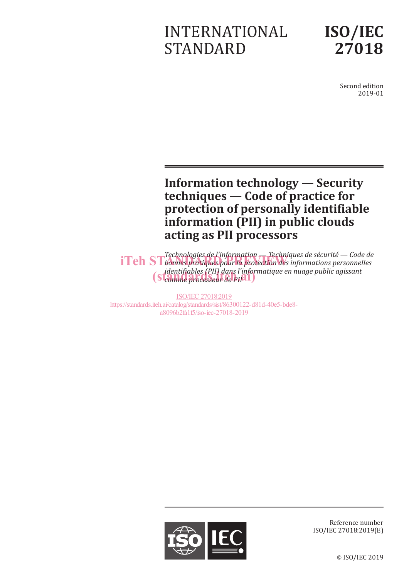# INTERNATIONAL STANDARD



Second edition 2019-01

## **Information technology — Security techniques — Code of practice for protection of personally identifiable information (PII) in public clouds acting as PII processors**

*Technologies de l'information — Techniques de sécurité — Code de*  iTeh ST<sub>bonnes</sub> pratiques pour la protection des informations personnelles *identifiables (PII) dans l'informatique en nuage public agissant comme processeur de PII*<br>
(St*comme processeur de PIPII*)

ISO/IEC 27018:2019 https://standards.iteh.ai/catalog/standards/sist/86300122-d81d-40e5-bde8 a8096b2fa1f5/iso-iec-27018-2019



Reference number ISO/IEC 27018:2019(E)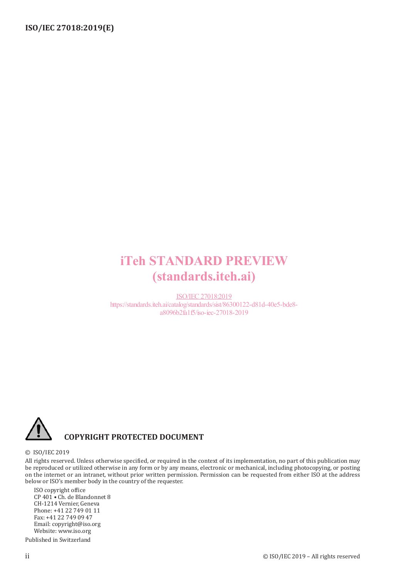# iTeh STANDARD PREVIEW (standards.iteh.ai)

ISO/IEC 27018:2019 https://standards.iteh.ai/catalog/standards/sist/86300122-d81d-40e5-bde8 a8096b2fa1f5/iso-iec-27018-2019



## **COPYRIGHT PROTECTED DOCUMENT**

#### © ISO/IEC 2019

All rights reserved. Unless otherwise specified, or required in the context of its implementation, no part of this publication may be reproduced or utilized otherwise in any form or by any means, electronic or mechanical, including photocopying, or posting on the internet or an intranet, without prior written permission. Permission can be requested from either ISO at the address below or ISO's member body in the country of the requester.

ISO copyright office CP 401 • Ch. de Blandonnet 8 CH-1214 Vernier, Geneva Phone: +41 22 749 01 11 Fax: +41 22 749 09 47 Email: copyright@iso.org Website: www.iso.org

Published in Switzerland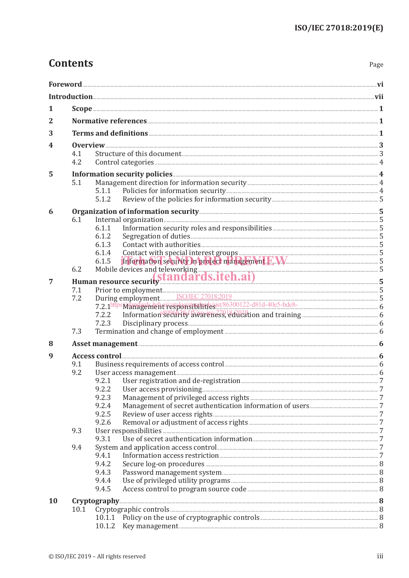## **Contents**

| . .<br>×<br>×<br>×<br>۰, |
|--------------------------|
|--------------------------|

| 1  |                                                                                                                                                                                                                                     |                                                                                   |  |  |  |  |  |  |
|----|-------------------------------------------------------------------------------------------------------------------------------------------------------------------------------------------------------------------------------------|-----------------------------------------------------------------------------------|--|--|--|--|--|--|
| 2  |                                                                                                                                                                                                                                     |                                                                                   |  |  |  |  |  |  |
|    |                                                                                                                                                                                                                                     |                                                                                   |  |  |  |  |  |  |
| 3  |                                                                                                                                                                                                                                     |                                                                                   |  |  |  |  |  |  |
| 4  |                                                                                                                                                                                                                                     |                                                                                   |  |  |  |  |  |  |
|    | 4.1<br>4.2                                                                                                                                                                                                                          |                                                                                   |  |  |  |  |  |  |
|    |                                                                                                                                                                                                                                     |                                                                                   |  |  |  |  |  |  |
| 5  |                                                                                                                                                                                                                                     |                                                                                   |  |  |  |  |  |  |
|    | 5.1<br>5.1.1                                                                                                                                                                                                                        |                                                                                   |  |  |  |  |  |  |
|    |                                                                                                                                                                                                                                     | 5.1.2                                                                             |  |  |  |  |  |  |
|    |                                                                                                                                                                                                                                     |                                                                                   |  |  |  |  |  |  |
| 6  | 6.1                                                                                                                                                                                                                                 | Organization of information security <b>Executive Security</b> 35                 |  |  |  |  |  |  |
|    |                                                                                                                                                                                                                                     | 6.1.1                                                                             |  |  |  |  |  |  |
|    |                                                                                                                                                                                                                                     | 6.1.2                                                                             |  |  |  |  |  |  |
|    |                                                                                                                                                                                                                                     | 6.1.3                                                                             |  |  |  |  |  |  |
|    |                                                                                                                                                                                                                                     | 6.1.4                                                                             |  |  |  |  |  |  |
|    |                                                                                                                                                                                                                                     | Information security in project management E.W.<br>6.1.5                          |  |  |  |  |  |  |
|    |                                                                                                                                                                                                                                     | 6.2 Mobile devices and teleworking<br>Human resource security tandards.itch.ai) 5 |  |  |  |  |  |  |
| 7  |                                                                                                                                                                                                                                     |                                                                                   |  |  |  |  |  |  |
|    | 7.1                                                                                                                                                                                                                                 |                                                                                   |  |  |  |  |  |  |
|    | 7.2                                                                                                                                                                                                                                 |                                                                                   |  |  |  |  |  |  |
|    |                                                                                                                                                                                                                                     |                                                                                   |  |  |  |  |  |  |
|    |                                                                                                                                                                                                                                     | 7.2.2                                                                             |  |  |  |  |  |  |
|    | 7.3                                                                                                                                                                                                                                 | 7.2.3                                                                             |  |  |  |  |  |  |
|    |                                                                                                                                                                                                                                     |                                                                                   |  |  |  |  |  |  |
| 8  |                                                                                                                                                                                                                                     | Asset management <b>Management</b> 6                                              |  |  |  |  |  |  |
| 9  | Access control <b>control and the control of the control</b> of the control of the control of the control of the control of the control of the control of the control of the control of the control of the control of the control o |                                                                                   |  |  |  |  |  |  |
|    | 9.1                                                                                                                                                                                                                                 |                                                                                   |  |  |  |  |  |  |
|    | 9.2                                                                                                                                                                                                                                 |                                                                                   |  |  |  |  |  |  |
|    |                                                                                                                                                                                                                                     | 9.2.1 User registration and de-registration <b>Construction</b> 27                |  |  |  |  |  |  |
|    |                                                                                                                                                                                                                                     | 9.2.2<br>9.2.3                                                                    |  |  |  |  |  |  |
|    |                                                                                                                                                                                                                                     | 9.2.4                                                                             |  |  |  |  |  |  |
|    |                                                                                                                                                                                                                                     | 9.2.5                                                                             |  |  |  |  |  |  |
|    |                                                                                                                                                                                                                                     | 9.2.6                                                                             |  |  |  |  |  |  |
|    | 9.3                                                                                                                                                                                                                                 |                                                                                   |  |  |  |  |  |  |
|    |                                                                                                                                                                                                                                     | 9.3.1                                                                             |  |  |  |  |  |  |
|    | 9.4                                                                                                                                                                                                                                 |                                                                                   |  |  |  |  |  |  |
|    |                                                                                                                                                                                                                                     | 9.4.1                                                                             |  |  |  |  |  |  |
|    |                                                                                                                                                                                                                                     | 9.4.2                                                                             |  |  |  |  |  |  |
|    |                                                                                                                                                                                                                                     | 9.4.3<br>9.4.4                                                                    |  |  |  |  |  |  |
|    |                                                                                                                                                                                                                                     | 9.4.5                                                                             |  |  |  |  |  |  |
|    |                                                                                                                                                                                                                                     |                                                                                   |  |  |  |  |  |  |
| 10 |                                                                                                                                                                                                                                     |                                                                                   |  |  |  |  |  |  |
|    | 10.1                                                                                                                                                                                                                                |                                                                                   |  |  |  |  |  |  |
|    |                                                                                                                                                                                                                                     |                                                                                   |  |  |  |  |  |  |
|    |                                                                                                                                                                                                                                     |                                                                                   |  |  |  |  |  |  |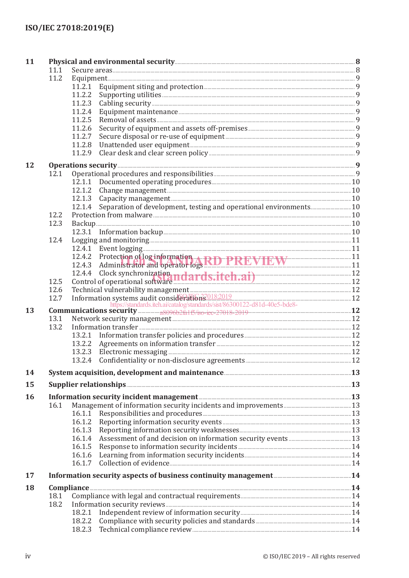| 11 |                                                                                                                                                                                                                                                       |                                   |                                                                                                                                        |  |  |  |  |  |
|----|-------------------------------------------------------------------------------------------------------------------------------------------------------------------------------------------------------------------------------------------------------|-----------------------------------|----------------------------------------------------------------------------------------------------------------------------------------|--|--|--|--|--|
|    | 11.1                                                                                                                                                                                                                                                  |                                   |                                                                                                                                        |  |  |  |  |  |
|    | 11.2                                                                                                                                                                                                                                                  |                                   |                                                                                                                                        |  |  |  |  |  |
|    |                                                                                                                                                                                                                                                       | 11.2.1                            |                                                                                                                                        |  |  |  |  |  |
|    |                                                                                                                                                                                                                                                       | 11.2.2                            |                                                                                                                                        |  |  |  |  |  |
|    |                                                                                                                                                                                                                                                       | 11.2.3                            |                                                                                                                                        |  |  |  |  |  |
|    |                                                                                                                                                                                                                                                       | 11.2.4                            |                                                                                                                                        |  |  |  |  |  |
|    |                                                                                                                                                                                                                                                       | 11.2.5                            |                                                                                                                                        |  |  |  |  |  |
|    |                                                                                                                                                                                                                                                       | 11.2.6                            |                                                                                                                                        |  |  |  |  |  |
|    |                                                                                                                                                                                                                                                       | 11.2.7                            |                                                                                                                                        |  |  |  |  |  |
|    |                                                                                                                                                                                                                                                       | 11.2.8                            |                                                                                                                                        |  |  |  |  |  |
|    |                                                                                                                                                                                                                                                       | 11.2.9                            |                                                                                                                                        |  |  |  |  |  |
| 12 | Operations security <b>2000 COVIDENTS</b> 9                                                                                                                                                                                                           |                                   |                                                                                                                                        |  |  |  |  |  |
|    | 12.1                                                                                                                                                                                                                                                  |                                   |                                                                                                                                        |  |  |  |  |  |
|    |                                                                                                                                                                                                                                                       |                                   |                                                                                                                                        |  |  |  |  |  |
|    |                                                                                                                                                                                                                                                       | 12.1.2                            | Change management 10                                                                                                                   |  |  |  |  |  |
|    |                                                                                                                                                                                                                                                       | 12.1.3                            |                                                                                                                                        |  |  |  |  |  |
|    |                                                                                                                                                                                                                                                       | 12.1.4                            |                                                                                                                                        |  |  |  |  |  |
|    | 12.2                                                                                                                                                                                                                                                  |                                   |                                                                                                                                        |  |  |  |  |  |
|    | 12.3                                                                                                                                                                                                                                                  |                                   |                                                                                                                                        |  |  |  |  |  |
|    |                                                                                                                                                                                                                                                       |                                   |                                                                                                                                        |  |  |  |  |  |
|    | 12.4                                                                                                                                                                                                                                                  |                                   |                                                                                                                                        |  |  |  |  |  |
|    |                                                                                                                                                                                                                                                       |                                   |                                                                                                                                        |  |  |  |  |  |
|    |                                                                                                                                                                                                                                                       |                                   |                                                                                                                                        |  |  |  |  |  |
|    |                                                                                                                                                                                                                                                       |                                   | 12.4.2 Protection of log information<br>12.4.3 Administrator and operator logs <b>EDPREVIEW</b> 12.4.3 Administrator and operator logs |  |  |  |  |  |
|    |                                                                                                                                                                                                                                                       |                                   |                                                                                                                                        |  |  |  |  |  |
|    | 12.5                                                                                                                                                                                                                                                  |                                   | 12.4.4 Clock synchronization ndards.itch.ai) 22.4.4 Clock synchronization and architectural control of operational software            |  |  |  |  |  |
|    |                                                                                                                                                                                                                                                       |                                   |                                                                                                                                        |  |  |  |  |  |
|    |                                                                                                                                                                                                                                                       |                                   |                                                                                                                                        |  |  |  |  |  |
|    |                                                                                                                                                                                                                                                       |                                   |                                                                                                                                        |  |  |  |  |  |
| 13 | 12.6 Technical vulnerability management<br>12.7 Information systems audit considerations <sup>2018.2019</sup><br>https://standards.iteh.ai/catalog/standards/sist/86300122-d81d-40e5-bde8-<br><b>Communications security</b><br>12.1 Network security |                                   |                                                                                                                                        |  |  |  |  |  |
|    |                                                                                                                                                                                                                                                       |                                   |                                                                                                                                        |  |  |  |  |  |
|    | 13.2                                                                                                                                                                                                                                                  |                                   |                                                                                                                                        |  |  |  |  |  |
|    |                                                                                                                                                                                                                                                       | 13.2.1                            |                                                                                                                                        |  |  |  |  |  |
|    |                                                                                                                                                                                                                                                       | 13.2.2                            |                                                                                                                                        |  |  |  |  |  |
|    |                                                                                                                                                                                                                                                       | 13.2.3                            |                                                                                                                                        |  |  |  |  |  |
|    |                                                                                                                                                                                                                                                       |                                   |                                                                                                                                        |  |  |  |  |  |
| 14 |                                                                                                                                                                                                                                                       |                                   | System acquisition, development and maintenance <b>manufacture of the Contract of August</b> 13                                        |  |  |  |  |  |
| 15 |                                                                                                                                                                                                                                                       |                                   |                                                                                                                                        |  |  |  |  |  |
|    |                                                                                                                                                                                                                                                       |                                   |                                                                                                                                        |  |  |  |  |  |
| 16 | Information security incident management 23 and 23                                                                                                                                                                                                    |                                   |                                                                                                                                        |  |  |  |  |  |
|    | 16.1                                                                                                                                                                                                                                                  |                                   |                                                                                                                                        |  |  |  |  |  |
|    |                                                                                                                                                                                                                                                       |                                   |                                                                                                                                        |  |  |  |  |  |
|    |                                                                                                                                                                                                                                                       |                                   |                                                                                                                                        |  |  |  |  |  |
|    |                                                                                                                                                                                                                                                       |                                   |                                                                                                                                        |  |  |  |  |  |
|    |                                                                                                                                                                                                                                                       |                                   |                                                                                                                                        |  |  |  |  |  |
|    |                                                                                                                                                                                                                                                       |                                   |                                                                                                                                        |  |  |  |  |  |
|    |                                                                                                                                                                                                                                                       | 16.1.6                            |                                                                                                                                        |  |  |  |  |  |
|    |                                                                                                                                                                                                                                                       |                                   |                                                                                                                                        |  |  |  |  |  |
| 17 |                                                                                                                                                                                                                                                       |                                   | Information security aspects of business continuity management <b>Manual</b> 14                                                        |  |  |  |  |  |
| 18 |                                                                                                                                                                                                                                                       | Compliance <b>communicates</b> 14 |                                                                                                                                        |  |  |  |  |  |
|    | 18.1                                                                                                                                                                                                                                                  |                                   |                                                                                                                                        |  |  |  |  |  |
|    | 18.2                                                                                                                                                                                                                                                  |                                   |                                                                                                                                        |  |  |  |  |  |
|    |                                                                                                                                                                                                                                                       | 18.2.1                            |                                                                                                                                        |  |  |  |  |  |
|    |                                                                                                                                                                                                                                                       | 18.2.2                            |                                                                                                                                        |  |  |  |  |  |
|    |                                                                                                                                                                                                                                                       | 18.2.3                            |                                                                                                                                        |  |  |  |  |  |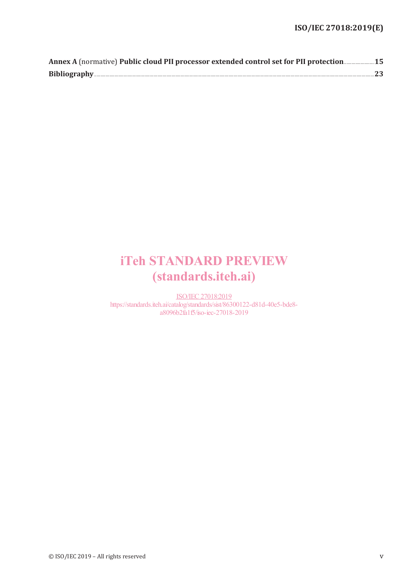| Annex A (normative) Public cloud PII processor extended control set for PII protection15 |    |
|------------------------------------------------------------------------------------------|----|
| <b>Bibliography</b>                                                                      | 23 |

# iTeh STANDARD PREVIEW (standards.iteh.ai)

ISO/IEC 27018:2019 https://standards.iteh.ai/catalog/standards/sist/86300122-d81d-40e5-bde8 a8096b2fa1f5/iso-iec-27018-2019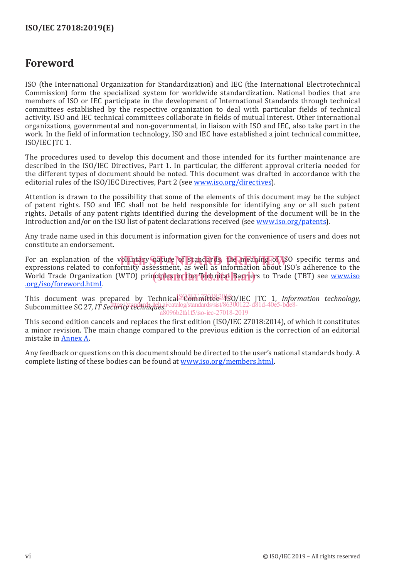## **Foreword**

ISO (the International Organization for Standardization) and IEC (the International Electrotechnical Commission) form the specialized system for worldwide standardization. National bodies that are members of ISO or IEC participate in the development of International Standards through technical committees established by the respective organization to deal with particular fields of technical activity. ISO and IEC technical committees collaborate in fields of mutual interest. Other international organizations, governmental and non-governmental, in liaison with ISO and IEC, also take part in the work. In the field of information technology, ISO and IEC have established a joint technical committee, ISO/IEC JTC 1.

The procedures used to develop this document and those intended for its further maintenance are described in the ISO/IEC Directives, Part 1. In particular, the different approval criteria needed for the different types of document should be noted. This document was drafted in accordance with the editorial rules of the ISO/IEC Directives, Part 2 (see www.iso.org/directives).

Attention is drawn to the possibility that some of the elements of this document may be the subject of patent rights. ISO and IEC shall not be held responsible for identifying any or all such patent rights. Details of any patent rights identified during the development of the document will be in the Introduction and/or on the ISO list of patent declarations received (see www.iso.org/patents).

Any trade name used in this document is information given for the convenience of users and does not constitute an endorsement.

For an explanation of the voluntary nature of standards, the meaning of ISO specific terms and<br>expressions related to conformity assessment, as well as information about ISO's adherence to the expressions related to conformity assessment, as well as information about ISO's adherence to the world Trade Organization (WTO) principles in the Technical Barriers to Trade (TBT) see www.iso .org/iso/foreword.html.

This document was prepared by Technica<sup>ISO</sup> Thi<sup>8201</sup>80/IEC ITC 1, *Information technology*, Subcommittee SC 27, *IT Security techniques*. https://standards.iteh.ai/catalog/standards/sist/86300122-d81d-40e5-bde8 a8096b2fa1f5/iso-iec-27018-2019

This second edition cancels and replaces the first edition (ISO/IEC 27018:2014), of which it constitutes a minor revision. The main change compared to the previous edition is the correction of an editorial mistake in Annex A.

Any feedback or questions on this document should be directed to the user's national standards body. A complete listing of these bodies can be found at www.iso.org/members.html.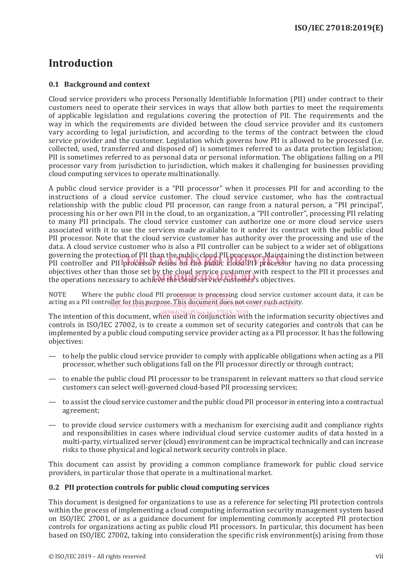## **Introduction**

## **0.1 Background and context**

Cloud service providers who process Personally Identifiable Information (PII) under contract to their customers need to operate their services in ways that allow both parties to meet the requirements of applicable legislation and regulations covering the protection of PII. The requirements and the way in which the requirements are divided between the cloud service provider and its customers vary according to legal jurisdiction, and according to the terms of the contract between the cloud service provider and the customer. Legislation which governs how PII is allowed to be processed (i.e. collected, used, transferred and disposed of) is sometimes referred to as data protection legislation; PII is sometimes referred to as personal data or personal information. The obligations falling on a PII processor vary from jurisdiction to jurisdiction, which makes it challenging for businesses providing cloud computing services to operate multinationally.

A public cloud service provider is a "PII processor" when it processes PII for and according to the instructions of a cloud service customer. The cloud service customer, who has the contractual relationship with the public cloud PII processor, can range from a natural person, a "PII principal", processing his or her own PII in the cloud, to an organization, a "PII controller", processing PII relating to many PII principals. The cloud service customer can authorize one or more cloud service users associated with it to use the services made available to it under its contract with the public cloud PII processor. Note that the cloud service customer has authority over the processing and use of the data. A cloud service customer who is also a PII controller can be subject to a wider set of obligations governing the protection of PII than the public cloud PII processor. Maintaining the distinction between governing the protection of PII than the public cloud PII processor. Maintaining the distinction between<br>PII controller and PII processor relies on the public cloud PII processor having no data processing objectives other than those set by the cloud service customer with respect to the PII it processes and objectives other than those set by the cloud service customer with respect<br>the operations necessary to achieve the cloud service customer's objectives.

NOTE Where the public cloud PII processor is processing cloud service customer account data, it can be acting as a PII controller for this purpose. This document does not cover such activity.<br>https://standard.item.ai/catalog.item.ai/catalog/standards/sist/86300122-d81d-40e5-bde8-

The intention of this document, when used in conjunction with the information security objectives and controls in ISO/IEC 27002, is to create a common set of security categories and controls that can be implemented by a public cloud computing service provider acting as a PII processor. It has the following objectives:

- to help the public cloud service provider to comply with applicable obligations when acting as a PII processor, whether such obligations fall on the PII processor directly or through contract;
- to enable the public cloud PII processor to be transparent in relevant matters so that cloud service customers can select well-governed cloud-based PII processing services;
- to assist the cloud service customer and the public cloud PII processor in entering into a contractual agreement;
- to provide cloud service customers with a mechanism for exercising audit and compliance rights and responsibilities in cases where individual cloud service customer audits of data hosted in a multi-party, virtualized server (cloud) environment can be impractical technically and can increase risks to those physical and logical network security controls in place.

This document can assist by providing a common compliance framework for public cloud service providers, in particular those that operate in a multinational market.

### **0.2 PII protection controls for public cloud computing services**

This document is designed for organizations to use as a reference for selecting PII protection controls within the process of implementing a cloud computing information security management system based on ISO/IEC 27001, or as a guidance document for implementing commonly accepted PII protection controls for organizations acting as public cloud PII processors. In particular, this document has been based on ISO/IEC 27002, taking into consideration the specific risk environment(s) arising from those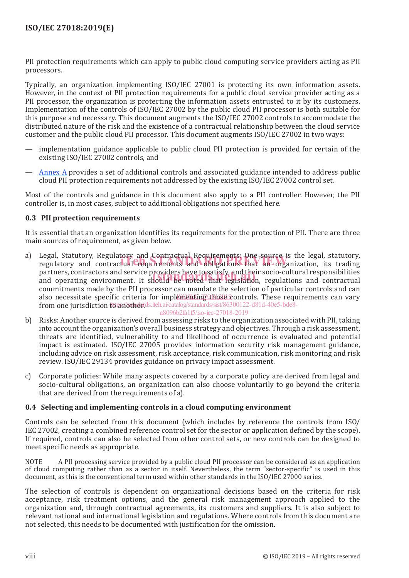PII protection requirements which can apply to public cloud computing service providers acting as PII processors.

Typically, an organization implementing ISO/IEC 27001 is protecting its own information assets. However, in the context of PII protection requirements for a public cloud service provider acting as a PII processor, the organization is protecting the information assets entrusted to it by its customers. Implementation of the controls of ISO/IEC 27002 by the public cloud PII processor is both suitable for this purpose and necessary. This document augments the ISO/IEC 27002 controls to accommodate the distributed nature of the risk and the existence of a contractual relationship between the cloud service customer and the public cloud PII processor. This document augments ISO/IEC 27002 in two ways:

- implementation guidance applicable to public cloud PII protection is provided for certain of the existing ISO/IEC 27002 controls, and
- Annex A provides a set of additional controls and associated guidance intended to address public cloud PII protection requirements not addressed by the existing ISO/IEC 27002 control set.

Most of the controls and guidance in this document also apply to a PII controller. However, the PII controller is, in most cases, subject to additional obligations not specified here.

## **0.3 PII protection requirements**

It is essential that an organization identifies its requirements for the protection of PII. There are three main sources of requirement, as given below.

a) Legal, Statutory, Regulatory and Contractual Requirements: One source is the legal, statutory, Legal, Statutory, Regulatory and Contractual Requirements: One source is the legal, statutory,<br>regulatory and contractual requirements and obligations that an organization, its trading partners, contractors and service providers have to satisfy, and their socio-cultural responsibilities partners, contractors and service providers have to satisfy, and their socio-cultural responsibilities<br>and operating environment. It should be noted that legislation, regulations and contractual commitments made by the PII processor can mandate the selection of particular controls and can also necessitate specific criteria for implementing those controls. These requirements can vary from one jurisdiction to anotherds.iteh.ai/catalog/standards/sist/86300122-d81d-40e5-bde8-

#### a8096b2fa1f5/iso-iec-27018-2019

- b) Risks: Another source is derived from assessing risks to the organization associated with PII, taking into account the organization's overall business strategy and objectives. Through a risk assessment, threats are identified, vulnerability to and likelihood of occurrence is evaluated and potential impact is estimated. ISO/IEC 27005 provides information security risk management guidance, including advice on risk assessment, risk acceptance, risk communication, risk monitoring and risk review. ISO/IEC 29134 provides guidance on privacy impact assessment.
- c) Corporate policies: While many aspects covered by a corporate policy are derived from legal and socio-cultural obligations, an organization can also choose voluntarily to go beyond the criteria that are derived from the requirements of a).

### **0.4 Selecting and implementing controls in a cloud computing environment**

Controls can be selected from this document (which includes by reference the controls from ISO/ IEC 27002, creating a combined reference control set for the sector or application defined by the scope). If required, controls can also be selected from other control sets, or new controls can be designed to meet specific needs as appropriate.

NOTE A PII processing service provided by a public cloud PII processor can be considered as an application of cloud computing rather than as a sector in itself. Nevertheless, the term "sector-specific" is used in this document, as this is the conventional term used within other standards in the ISO/IEC 27000 series.

The selection of controls is dependent on organizational decisions based on the criteria for risk acceptance, risk treatment options, and the general risk management approach applied to the organization and, through contractual agreements, its customers and suppliers. It is also subject to relevant national and international legislation and regulations. Where controls from this document are not selected, this needs to be documented with justification for the omission.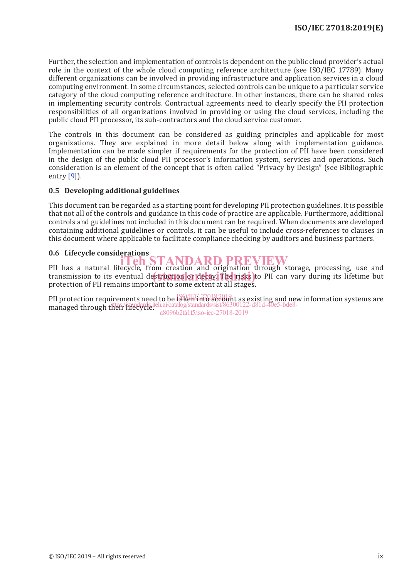Further, the selection and implementation of controls is dependent on the public cloud provider's actual role in the context of the whole cloud computing reference architecture (see ISO/IEC 17789). Many different organizations can be involved in providing infrastructure and application services in a cloud computing environment. In some circumstances, selected controls can be unique to a particular service category of the cloud computing reference architecture. In other instances, there can be shared roles in implementing security controls. Contractual agreements need to clearly specify the PII protection responsibilities of all organizations involved in providing or using the cloud services, including the public cloud PII processor, its sub-contractors and the cloud service customer.

The controls in this document can be considered as guiding principles and applicable for most organizations. They are explained in more detail below along with implementation guidance. Implementation can be made simpler if requirements for the protection of PII have been considered in the design of the public cloud PII processor's information system, services and operations. Such consideration is an element of the concept that is often called "Privacy by Design" (see Bibliographic entry  $[9]$ ).

### **0.5 Developing additional guidelines**

This document can be regarded as a starting point for developing PII protection guidelines. It is possible that not all of the controls and guidance in this code of practice are applicable. Furthermore, additional controls and guidelines not included in this document can be required. When documents are developed containing additional guidelines or controls, it can be useful to include cross-references to clauses in this document where applicable to facilitate compliance checking by auditors and business partners.

### **0.6 Lifecycle considerations**

old Energie considerations<br>PII has a natural lifecycle, from creation and origination through storage, processing, use and transmission to its eventual destruction or decay. The risks to PII can vary during its lifetime but metastion of PII remains important to some evtent of all stages. protection of PII remains important to some extent at all stages.

PII protection requirements need to be  $\frac{120 \text{ FG}}{27018201}$  as existing and new information systems are  $\frac{120 \text{ FG}}{270122}$  and  $\frac{121 \text{ FG}}{270122}$  and  $\frac{121 \text{ FG}}{270122}$  and  $\frac{121 \text{ FG}}{270122}$  and  $\frac{1$ managed through their lifecycle. https://standards.iteh.ai/catalog/standards/sist/86300122-d81d-40e5-bde8 a8096b2fa1f5/iso-iec-27018-2019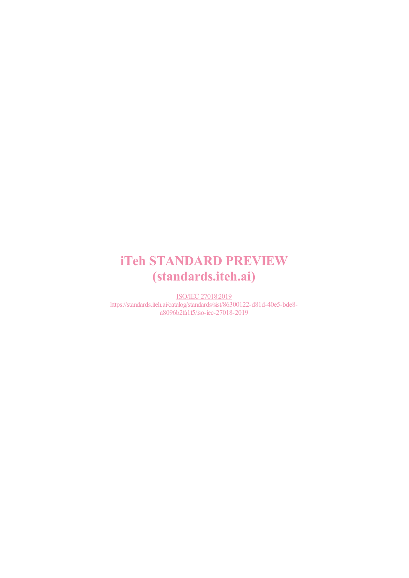# iTeh STANDARD PREVIEW (standards.iteh.ai)

ISO/IEC 27018:2019 https://standards.iteh.ai/catalog/standards/sist/86300122-d81d-40e5-bde8 a8096b2fa1f5/iso-iec-27018-2019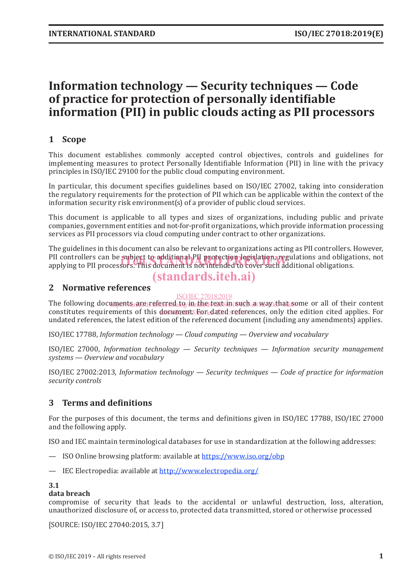## **Information technology — Security techniques — Code of practice for protection of personally identifiable information (PII) in public clouds acting as PII processors**

## **1 Scope**

This document establishes commonly accepted control objectives, controls and guidelines for implementing measures to protect Personally Identifiable Information (PII) in line with the privacy principles in ISO/IEC 29100 for the public cloud computing environment.

In particular, this document specifies guidelines based on ISO/IEC 27002, taking into consideration the regulatory requirements for the protection of PII which can be applicable within the context of the information security risk environment(s) of a provider of public cloud services.

This document is applicable to all types and sizes of organizations, including public and private companies, government entities and not-for-profit organizations, which provide information processing services as PII processors via cloud computing under contract to other organizations.

The guidelines in this document can also be relevant to organizations acting as PII controllers. However, PII controllers can be subject to additional PII protection legislation, regulations and obligations, not PII controllers can be subject to additional PII protection legislation, regulations and obligat<br>applying to PII processors. This document is not intended to cover such additional obligations.

## **2 Normative references**

# ISO/IEC 27018:2019

(standards.iteh.ai)

The following documents are referred to in the text in such a way that some or all of their content constitutes requirements of this documents  $\epsilon$  and  $\epsilon$  dated references, only the edition cited applies. For undated references, the latest edition of the referenced document (including any amendments) applies.

ISO/IEC 17788, *Information technology — Cloud computing — Overview and vocabulary*

ISO/IEC 27000, *Information technology — Security techniques — Information security management systems — Overview and vocabulary*

ISO/IEC 27002:2013, *Information technology — Security techniques — Code of practice for information security controls*

## **3 Terms and definitions**

For the purposes of this document, the terms and definitions given in ISO/IEC 17788, ISO/IEC 27000 and the following apply.

ISO and IEC maintain terminological databases for use in standardization at the following addresses:

- ISO Online browsing platform: available at https://www.iso.org/obp
- IEC Electropedia: available at http://www.electropedia.org/

### **3.1**

### **data breach**

compromise of security that leads to the accidental or unlawful destruction, loss, alteration, unauthorized disclosure of, or access to, protected data transmitted, stored or otherwise processed

[SOURCE: ISO/IEC 27040:2015, 3.7]